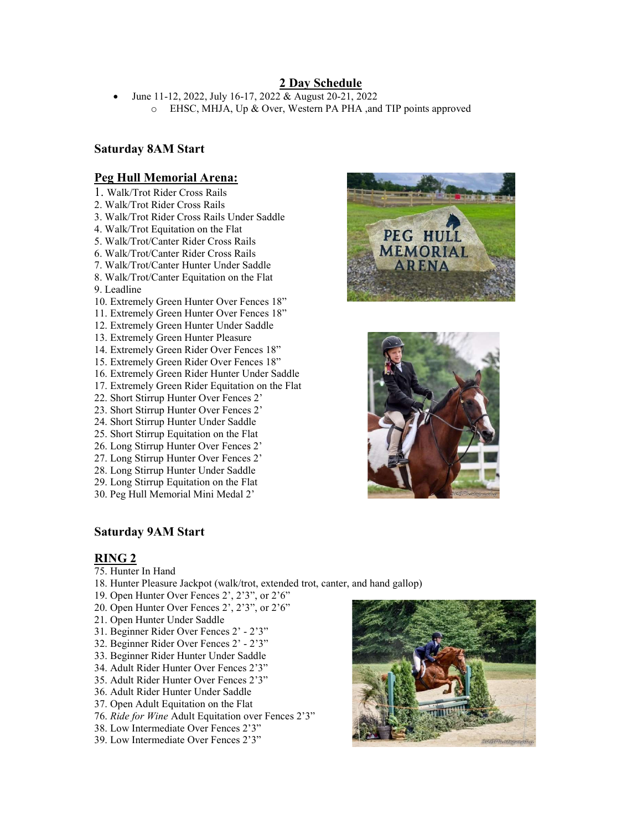# 2 Day Schedule

 June 11-12, 2022, July 16-17, 2022 & August 20-21, 2022 o EHSC, MHJA, Up & Over, Western PA PHA ,and TIP points approved

# Saturday 8AM Start

## Peg Hull Memorial Arena:

- 1. Walk/Trot Rider Cross Rails
- 2. Walk/Trot Rider Cross Rails
- 3. Walk/Trot Rider Cross Rails Under Saddle
- 4. Walk/Trot Equitation on the Flat
- 5. Walk/Trot/Canter Rider Cross Rails
- 6. Walk/Trot/Canter Rider Cross Rails
- 7. Walk/Trot/Canter Hunter Under Saddle
- 8. Walk/Trot/Canter Equitation on the Flat

# 9. Leadline

- 10. Extremely Green Hunter Over Fences 18"
- 11. Extremely Green Hunter Over Fences 18"
- 12. Extremely Green Hunter Under Saddle
- 13. Extremely Green Hunter Pleasure
- 14. Extremely Green Rider Over Fences 18"
- 15. Extremely Green Rider Over Fences 18"
- 16. Extremely Green Rider Hunter Under Saddle
- 17. Extremely Green Rider Equitation on the Flat
- 22. Short Stirrup Hunter Over Fences 2'
- 23. Short Stirrup Hunter Over Fences 2'
- 24. Short Stirrup Hunter Under Saddle
- 25. Short Stirrup Equitation on the Flat
- 26. Long Stirrup Hunter Over Fences 2'
- 27. Long Stirrup Hunter Over Fences 2'
- 28. Long Stirrup Hunter Under Saddle
- 29. Long Stirrup Equitation on the Flat
- 30. Peg Hull Memorial Mini Medal 2'





### Saturday 9AM Start

# RING 2

- 75. Hunter In Hand
- 18. Hunter Pleasure Jackpot (walk/trot, extended trot, canter, and hand gallop)
- 19. Open Hunter Over Fences 2', 2'3", or 2'6"
- 20. Open Hunter Over Fences 2', 2'3", or 2'6"
- 21. Open Hunter Under Saddle
- 31. Beginner Rider Over Fences 2' 2'3"
- 32. Beginner Rider Over Fences 2' 2'3"
- 33. Beginner Rider Hunter Under Saddle
- 34. Adult Rider Hunter Over Fences 2'3"
- 35. Adult Rider Hunter Over Fences 2'3"
- 36. Adult Rider Hunter Under Saddle
- 37. Open Adult Equitation on the Flat
- 76. Ride for Wine Adult Equitation over Fences 2'3"
- 38. Low Intermediate Over Fences 2'3"
- 39. Low Intermediate Over Fences 2'3"

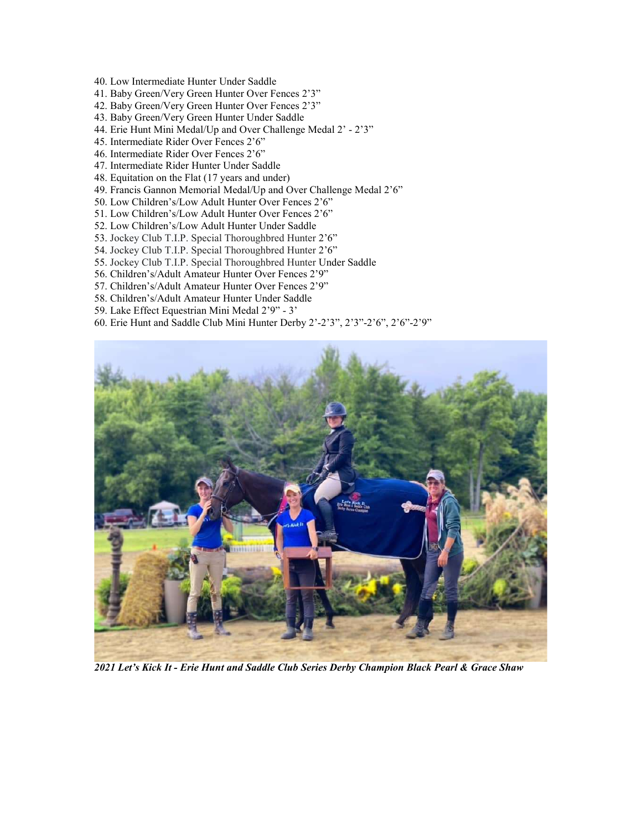- 40. Low Intermediate Hunter Under Saddle
- 41. Baby Green/Very Green Hunter Over Fences 2'3"
- 42. Baby Green/Very Green Hunter Over Fences 2'3"
- 43. Baby Green/Very Green Hunter Under Saddle
- 44. Erie Hunt Mini Medal/Up and Over Challenge Medal 2' 2'3"
- 45. Intermediate Rider Over Fences 2'6"
- 46. Intermediate Rider Over Fences 2'6"
- 47. Intermediate Rider Hunter Under Saddle
- 48. Equitation on the Flat (17 years and under)
- 49. Francis Gannon Memorial Medal/Up and Over Challenge Medal 2'6"
- 50. Low Children's/Low Adult Hunter Over Fences 2'6"
- 51. Low Children's/Low Adult Hunter Over Fences 2'6"
- 52. Low Children's/Low Adult Hunter Under Saddle
- 53. Jockey Club T.I.P. Special Thoroughbred Hunter 2'6"
- 54. Jockey Club T.I.P. Special Thoroughbred Hunter 2'6"
- 55. Jockey Club T.I.P. Special Thoroughbred Hunter Under Saddle
- 56. Children's/Adult Amateur Hunter Over Fences 2'9"
- 57. Children's/Adult Amateur Hunter Over Fences 2'9"
- 58. Children's/Adult Amateur Hunter Under Saddle
- 59. Lake Effect Equestrian Mini Medal 2'9" 3'
- 60. Erie Hunt and Saddle Club Mini Hunter Derby 2'-2'3", 2'3"-2'6", 2'6"-2'9"



2021 Let's Kick It - Erie Hunt and Saddle Club Series Derby Champion Black Pearl & Grace Shaw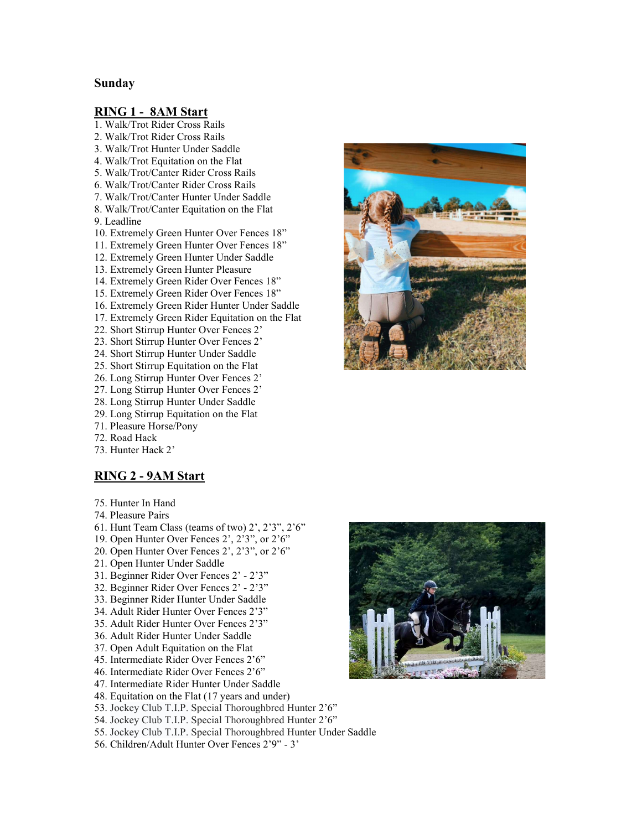### Sunday

## RING 1 - 8AM Start

1. Walk/Trot Rider Cross Rails

- 2. Walk/Trot Rider Cross Rails
- 3. Walk/Trot Hunter Under Saddle
- 4. Walk/Trot Equitation on the Flat
- 5. Walk/Trot/Canter Rider Cross Rails
- 6. Walk/Trot/Canter Rider Cross Rails
- 7. Walk/Trot/Canter Hunter Under Saddle
- 8. Walk/Trot/Canter Equitation on the Flat 9. Leadline
- 10. Extremely Green Hunter Over Fences 18"
- 11. Extremely Green Hunter Over Fences 18"
- 12. Extremely Green Hunter Under Saddle
- 13. Extremely Green Hunter Pleasure
- 14. Extremely Green Rider Over Fences 18"
- 15. Extremely Green Rider Over Fences 18"
- 16. Extremely Green Rider Hunter Under Saddle
- 17. Extremely Green Rider Equitation on the Flat
- 22. Short Stirrup Hunter Over Fences 2'
- 23. Short Stirrup Hunter Over Fences 2'
- 24. Short Stirrup Hunter Under Saddle
- 25. Short Stirrup Equitation on the Flat
- 26. Long Stirrup Hunter Over Fences 2'
- 27. Long Stirrup Hunter Over Fences 2'
- 28. Long Stirrup Hunter Under Saddle
- 29. Long Stirrup Equitation on the Flat
- 71. Pleasure Horse/Pony
- 72. Road Hack
- 73. Hunter Hack 2'

#### RING 2 - 9AM Start

- 75. Hunter In Hand
- 74. Pleasure Pairs
- 61. Hunt Team Class (teams of two) 2', 2'3", 2'6"
- 19. Open Hunter Over Fences 2', 2'3", or 2'6"
- 20. Open Hunter Over Fences 2', 2'3", or 2'6"
- 21. Open Hunter Under Saddle
- 31. Beginner Rider Over Fences 2' 2'3"
- 32. Beginner Rider Over Fences 2' 2'3"
- 33. Beginner Rider Hunter Under Saddle
- 34. Adult Rider Hunter Over Fences 2'3"
- 35. Adult Rider Hunter Over Fences 2'3"
- 36. Adult Rider Hunter Under Saddle
- 37. Open Adult Equitation on the Flat
- 45. Intermediate Rider Over Fences 2'6"
- 46. Intermediate Rider Over Fences 2'6"
- 47. Intermediate Rider Hunter Under Saddle
- 48. Equitation on the Flat (17 years and under)
- 53. Jockey Club T.I.P. Special Thoroughbred Hunter 2'6"
- 54. Jockey Club T.I.P. Special Thoroughbred Hunter 2'6"
- 55. Jockey Club T.I.P. Special Thoroughbred Hunter Under Saddle
- 56. Children/Adult Hunter Over Fences 2'9" 3'



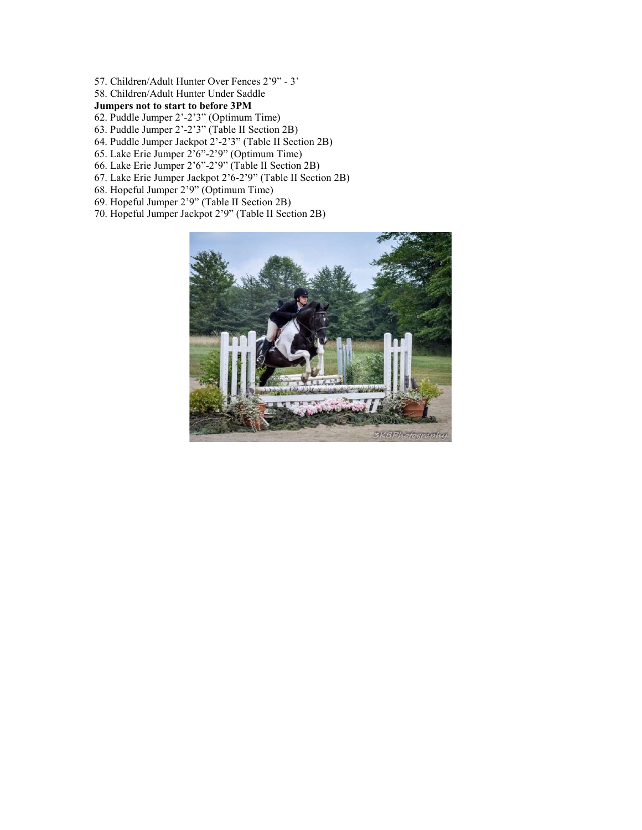- 57. Children/Adult Hunter Over Fences 2'9" 3'
- 58. Children/Adult Hunter Under Saddle

### Jumpers not to start to before 3PM

- 62. Puddle Jumper 2'-2'3" (Optimum Time)
- 63. Puddle Jumper 2'-2'3" (Table II Section 2B)
- 64. Puddle Jumper Jackpot 2'-2'3" (Table II Section 2B)
- 65. Lake Erie Jumper 2'6"-2'9" (Optimum Time)
- 66. Lake Erie Jumper 2'6"-2'9" (Table II Section 2B)
- 67. Lake Erie Jumper Jackpot 2'6-2'9" (Table II Section 2B)
- 68. Hopeful Jumper 2'9" (Optimum Time)
- 69. Hopeful Jumper 2'9" (Table II Section 2B)
- 70. Hopeful Jumper Jackpot 2'9" (Table II Section 2B)

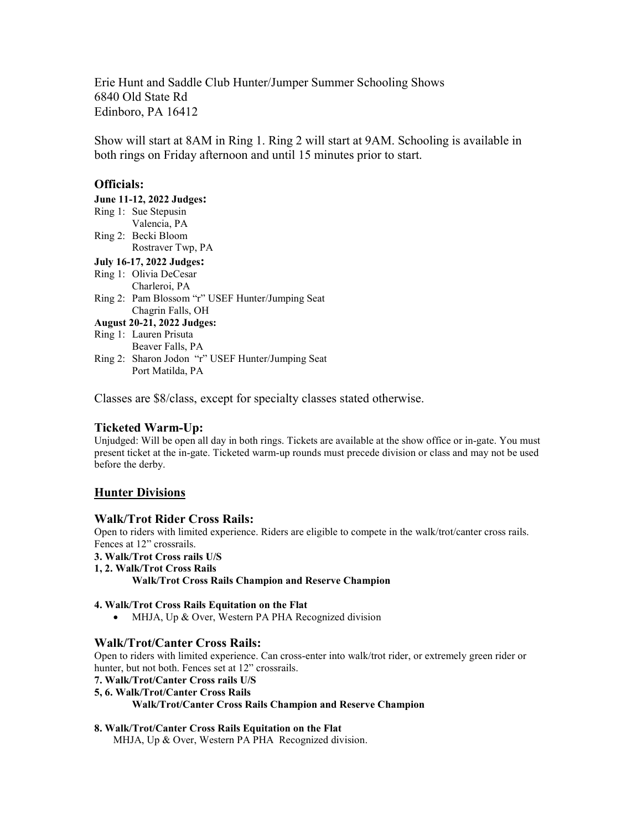Erie Hunt and Saddle Club Hunter/Jumper Summer Schooling Shows 6840 Old State Rd Edinboro, PA 16412

Show will start at 8AM in Ring 1. Ring 2 will start at 9AM. Schooling is available in both rings on Friday afternoon and until 15 minutes prior to start.

# Officials:

### June 11-12, 2022 Judges:

- Ring 1: Sue Stepusin Valencia, PA
- Ring 2: Becki Bloom Rostraver Twp, PA

## July 16-17, 2022 Judges:

- Ring 1: Olivia DeCesar Charleroi, PA
- Ring 2: Pam Blossom "r" USEF Hunter/Jumping Seat Chagrin Falls, OH

## August 20-21, 2022 Judges:

- Ring 1: Lauren Prisuta
	- Beaver Falls, PA
- Ring 2: Sharon Jodon "r" USEF Hunter/Jumping Seat Port Matilda, PA

Classes are \$8/class, except for specialty classes stated otherwise.

# Ticketed Warm-Up:

Unjudged: Will be open all day in both rings. Tickets are available at the show office or in-gate. You must present ticket at the in-gate. Ticketed warm-up rounds must precede division or class and may not be used before the derby.

# Hunter Divisions

# Walk/Trot Rider Cross Rails:

Open to riders with limited experience. Riders are eligible to compete in the walk/trot/canter cross rails. Fences at 12" crossrails.

# 3. Walk/Trot Cross rails U/S

1, 2. Walk/Trot Cross Rails

# Walk/Trot Cross Rails Champion and Reserve Champion

# 4. Walk/Trot Cross Rails Equitation on the Flat

MHJA, Up & Over, Western PA PHA Recognized division

# Walk/Trot/Canter Cross Rails:

Open to riders with limited experience. Can cross-enter into walk/trot rider, or extremely green rider or hunter, but not both. Fences set at 12" crossrails.

#### 7. Walk/Trot/Canter Cross rails U/S

#### 5, 6. Walk/Trot/Canter Cross Rails

#### Walk/Trot/Canter Cross Rails Champion and Reserve Champion

#### 8. Walk/Trot/Canter Cross Rails Equitation on the Flat MHJA, Up & Over, Western PA PHA Recognized division.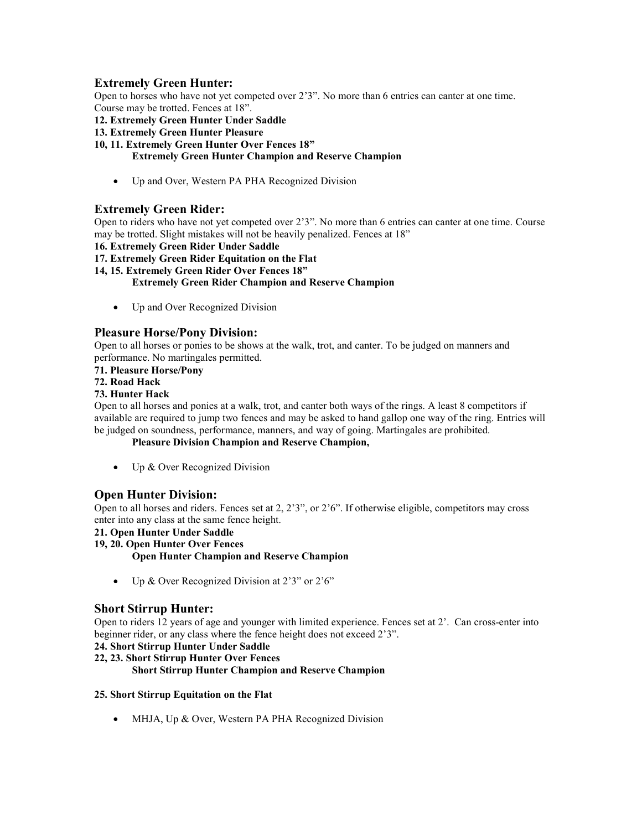# Extremely Green Hunter:

Open to horses who have not yet competed over 2'3". No more than 6 entries can canter at one time. Course may be trotted. Fences at 18".

12. Extremely Green Hunter Under Saddle

13. Extremely Green Hunter Pleasure

## 10, 11. Extremely Green Hunter Over Fences 18" Extremely Green Hunter Champion and Reserve Champion

Up and Over, Western PA PHA Recognized Division

# Extremely Green Rider:

Open to riders who have not yet competed over 2'3". No more than 6 entries can canter at one time. Course may be trotted. Slight mistakes will not be heavily penalized. Fences at 18"

- 16. Extremely Green Rider Under Saddle
- 17. Extremely Green Rider Equitation on the Flat

#### 14, 15. Extremely Green Rider Over Fences 18" Extremely Green Rider Champion and Reserve Champion

• Up and Over Recognized Division

# Pleasure Horse/Pony Division:

Open to all horses or ponies to be shows at the walk, trot, and canter. To be judged on manners and performance. No martingales permitted.

71. Pleasure Horse/Pony

# 72. Road Hack

## 73. Hunter Hack

Open to all horses and ponies at a walk, trot, and canter both ways of the rings. A least 8 competitors if available are required to jump two fences and may be asked to hand gallop one way of the ring. Entries will be judged on soundness, performance, manners, and way of going. Martingales are prohibited.

Pleasure Division Champion and Reserve Champion,

• Up & Over Recognized Division

# Open Hunter Division:

Open to all horses and riders. Fences set at 2, 2'3", or 2'6". If otherwise eligible, competitors may cross enter into any class at the same fence height.

# 21. Open Hunter Under Saddle

- 19, 20. Open Hunter Over Fences Open Hunter Champion and Reserve Champion
	- Up & Over Recognized Division at 2'3" or 2'6"

# Short Stirrup Hunter:

Open to riders 12 years of age and younger with limited experience. Fences set at 2'. Can cross-enter into beginner rider, or any class where the fence height does not exceed 2'3".

### 24. Short Stirrup Hunter Under Saddle

22, 23. Short Stirrup Hunter Over Fences Short Stirrup Hunter Champion and Reserve Champion

#### 25. Short Stirrup Equitation on the Flat

• MHJA, Up & Over, Western PA PHA Recognized Division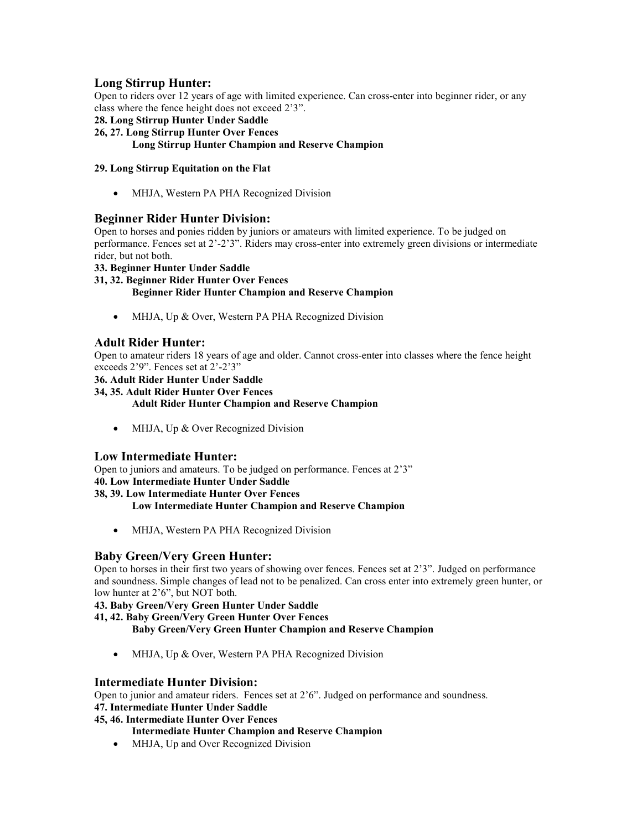# Long Stirrup Hunter:

Open to riders over 12 years of age with limited experience. Can cross-enter into beginner rider, or any class where the fence height does not exceed 2'3".

## 28. Long Stirrup Hunter Under Saddle

26, 27. Long Stirrup Hunter Over Fences

### Long Stirrup Hunter Champion and Reserve Champion

### 29. Long Stirrup Equitation on the Flat

MHJA, Western PA PHA Recognized Division

# Beginner Rider Hunter Division:

Open to horses and ponies ridden by juniors or amateurs with limited experience. To be judged on performance. Fences set at 2'-2'3". Riders may cross-enter into extremely green divisions or intermediate rider, but not both.

## 33. Beginner Hunter Under Saddle

#### 31, 32. Beginner Rider Hunter Over Fences Beginner Rider Hunter Champion and Reserve Champion

• MHJA, Up & Over, Western PA PHA Recognized Division

# Adult Rider Hunter:

Open to amateur riders 18 years of age and older. Cannot cross-enter into classes where the fence height exceeds 2'9". Fences set at 2'-2'3"

#### 36. Adult Rider Hunter Under Saddle

- 34, 35. Adult Rider Hunter Over Fences Adult Rider Hunter Champion and Reserve Champion
	- MHJA, Up & Over Recognized Division

# Low Intermediate Hunter:

Open to juniors and amateurs. To be judged on performance. Fences at 2'3" 40. Low Intermediate Hunter Under Saddle

### 38, 39. Low Intermediate Hunter Over Fences Low Intermediate Hunter Champion and Reserve Champion

MHJA, Western PA PHA Recognized Division

# Baby Green/Very Green Hunter:

Open to horses in their first two years of showing over fences. Fences set at 2'3". Judged on performance and soundness. Simple changes of lead not to be penalized. Can cross enter into extremely green hunter, or low hunter at 2'6", but NOT both.

43. Baby Green/Very Green Hunter Under Saddle

#### 41, 42. Baby Green/Very Green Hunter Over Fences Baby Green/Very Green Hunter Champion and Reserve Champion

• MHJA, Up & Over, Western PA PHA Recognized Division

# Intermediate Hunter Division:

Open to junior and amateur riders. Fences set at 2'6". Judged on performance and soundness. 47. Intermediate Hunter Under Saddle

#### 45, 46. Intermediate Hunter Over Fences

Intermediate Hunter Champion and Reserve Champion

• MHJA, Up and Over Recognized Division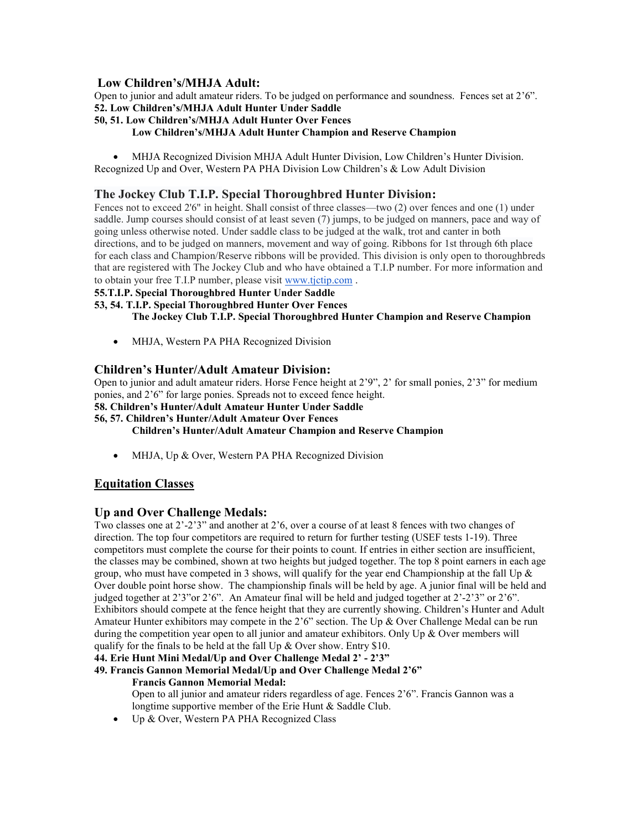# Low Children's/MHJA Adult:

Open to junior and adult amateur riders. To be judged on performance and soundness. Fences set at 2'6". 52. Low Children's/MHJA Adult Hunter Under Saddle

### 50, 51. Low Children's/MHJA Adult Hunter Over Fences

#### Low Children's/MHJA Adult Hunter Champion and Reserve Champion

 MHJA Recognized Division MHJA Adult Hunter Division, Low Children's Hunter Division. Recognized Up and Over, Western PA PHA Division Low Children's & Low Adult Division

## The Jockey Club T.I.P. Special Thoroughbred Hunter Division:

Fences not to exceed 2'6" in height. Shall consist of three classes—two (2) over fences and one (1) under saddle. Jump courses should consist of at least seven (7) jumps, to be judged on manners, pace and way of going unless otherwise noted. Under saddle class to be judged at the walk, trot and canter in both directions, and to be judged on manners, movement and way of going. Ribbons for 1st through 6th place for each class and Champion/Reserve ribbons will be provided. This division is only open to thoroughbreds that are registered with The Jockey Club and who have obtained a T.I.P number. For more information and to obtain your free T.I.P number, please visit www.tjctip.com .

#### 55.T.I.P. Special Thoroughbred Hunter Under Saddle

## 53, 54. T.I.P. Special Thoroughbred Hunter Over Fences The Jockey Club T.I.P. Special Thoroughbred Hunter Champion and Reserve Champion

MHJA, Western PA PHA Recognized Division

# Children's Hunter/Adult Amateur Division:

Open to junior and adult amateur riders. Horse Fence height at 2'9", 2' for small ponies, 2'3" for medium ponies, and 2'6" for large ponies. Spreads not to exceed fence height.

#### 58. Children's Hunter/Adult Amateur Hunter Under Saddle

#### 56, 57. Children's Hunter/Adult Amateur Over Fences

#### Children's Hunter/Adult Amateur Champion and Reserve Champion

• MHJA, Up & Over, Western PA PHA Recognized Division

# Equitation Classes

# Up and Over Challenge Medals:

Two classes one at 2'-2'3" and another at 2'6, over a course of at least 8 fences with two changes of direction. The top four competitors are required to return for further testing (USEF tests 1-19). Three competitors must complete the course for their points to count. If entries in either section are insufficient, the classes may be combined, shown at two heights but judged together. The top 8 point earners in each age group, who must have competed in 3 shows, will qualify for the year end Championship at the fall Up  $\&$ Over double point horse show. The championship finals will be held by age. A junior final will be held and judged together at 2'3"or 2'6". An Amateur final will be held and judged together at 2'-2'3" or 2'6". Exhibitors should compete at the fence height that they are currently showing. Children's Hunter and Adult Amateur Hunter exhibitors may compete in the  $2'6'$  section. The Up & Over Challenge Medal can be run during the competition year open to all junior and amateur exhibitors. Only Up  $\&$  Over members will qualify for the finals to be held at the fall Up  $&$  Over show. Entry \$10.

44. Erie Hunt Mini Medal/Up and Over Challenge Medal 2' - 2'3"

49. Francis Gannon Memorial Medal/Up and Over Challenge Medal 2'6" Francis Gannon Memorial Medal:

> Open to all junior and amateur riders regardless of age. Fences 2'6". Francis Gannon was a longtime supportive member of the Erie Hunt & Saddle Club.

• Up & Over, Western PA PHA Recognized Class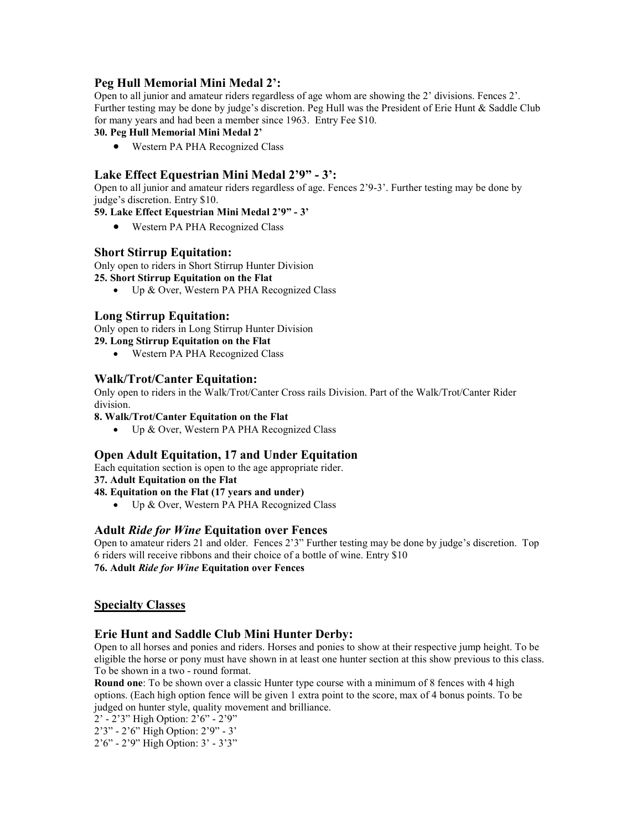# Peg Hull Memorial Mini Medal 2':

Open to all junior and amateur riders regardless of age whom are showing the 2' divisions. Fences 2'. Further testing may be done by judge's discretion. Peg Hull was the President of Erie Hunt & Saddle Club for many years and had been a member since 1963. Entry Fee \$10.

### 30. Peg Hull Memorial Mini Medal 2'

Western PA PHA Recognized Class

# Lake Effect Equestrian Mini Medal 2'9" - 3':

Open to all junior and amateur riders regardless of age. Fences 2'9-3'. Further testing may be done by judge's discretion. Entry \$10.

## 59. Lake Effect Equestrian Mini Medal 2'9" - 3'

Western PA PHA Recognized Class

# Short Stirrup Equitation:

Only open to riders in Short Stirrup Hunter Division

25. Short Stirrup Equitation on the Flat

• Up & Over, Western PA PHA Recognized Class

# Long Stirrup Equitation:

Only open to riders in Long Stirrup Hunter Division

- 29. Long Stirrup Equitation on the Flat
	- Western PA PHA Recognized Class

# Walk/Trot/Canter Equitation:

Only open to riders in the Walk/Trot/Canter Cross rails Division. Part of the Walk/Trot/Canter Rider division.

### 8. Walk/Trot/Canter Equitation on the Flat

Up & Over, Western PA PHA Recognized Class

# Open Adult Equitation, 17 and Under Equitation

Each equitation section is open to the age appropriate rider.

37. Adult Equitation on the Flat

#### 48. Equitation on the Flat (17 years and under)

• Up & Over, Western PA PHA Recognized Class

# Adult Ride for Wine Equitation over Fences

Open to amateur riders 21 and older. Fences 2'3" Further testing may be done by judge's discretion. Top 6 riders will receive ribbons and their choice of a bottle of wine. Entry \$10 76. Adult Ride for Wine Equitation over Fences

# **Specialty Classes**

# Erie Hunt and Saddle Club Mini Hunter Derby:

Open to all horses and ponies and riders. Horses and ponies to show at their respective jump height. To be eligible the horse or pony must have shown in at least one hunter section at this show previous to this class. To be shown in a two - round format.

Round one: To be shown over a classic Hunter type course with a minimum of 8 fences with 4 high options. (Each high option fence will be given 1 extra point to the score, max of 4 bonus points. To be judged on hunter style, quality movement and brilliance.

2' - 2'3" High Option: 2'6" - 2'9"

2'3" - 2'6" High Option: 2'9" - 3'

2'6" - 2'9" High Option: 3' - 3'3"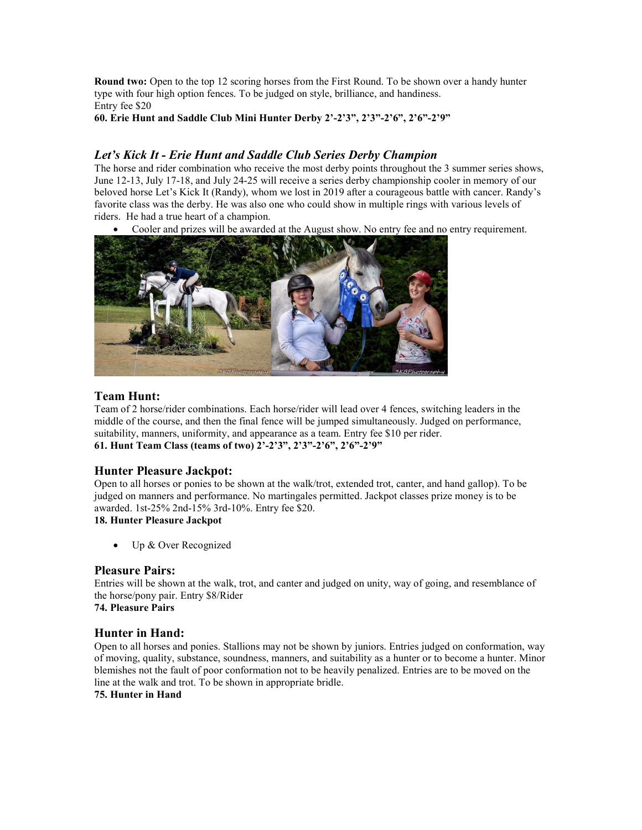Round two: Open to the top 12 scoring horses from the First Round. To be shown over a handy hunter type with four high option fences. To be judged on style, brilliance, and handiness. Entry fee \$20

60. Erie Hunt and Saddle Club Mini Hunter Derby 2'-2'3", 2'3"-2'6", 2'6"-2'9"

# Let's Kick It - Erie Hunt and Saddle Club Series Derby Champion

The horse and rider combination who receive the most derby points throughout the 3 summer series shows, June 12-13, July 17-18, and July 24-25 will receive a series derby championship cooler in memory of our beloved horse Let's Kick It (Randy), whom we lost in 2019 after a courageous battle with cancer. Randy's favorite class was the derby. He was also one who could show in multiple rings with various levels of riders. He had a true heart of a champion.

Cooler and prizes will be awarded at the August show. No entry fee and no entry requirement.



# Team Hunt:

Team of 2 horse/rider combinations. Each horse/rider will lead over 4 fences, switching leaders in the middle of the course, and then the final fence will be jumped simultaneously. Judged on performance, suitability, manners, uniformity, and appearance as a team. Entry fee \$10 per rider. 61. Hunt Team Class (teams of two) 2'-2'3", 2'3"-2'6", 2'6"-2'9"

# Hunter Pleasure Jackpot:

Open to all horses or ponies to be shown at the walk/trot, extended trot, canter, and hand gallop). To be judged on manners and performance. No martingales permitted. Jackpot classes prize money is to be awarded. 1st-25% 2nd-15% 3rd-10%. Entry fee \$20.

# 18. Hunter Pleasure Jackpot

• Up & Over Recognized

# Pleasure Pairs:

Entries will be shown at the walk, trot, and canter and judged on unity, way of going, and resemblance of the horse/pony pair. Entry \$8/Rider 74. Pleasure Pairs

# Hunter in Hand:

Open to all horses and ponies. Stallions may not be shown by juniors. Entries judged on conformation, way of moving, quality, substance, soundness, manners, and suitability as a hunter or to become a hunter. Minor blemishes not the fault of poor conformation not to be heavily penalized. Entries are to be moved on the line at the walk and trot. To be shown in appropriate bridle.

#### 75. Hunter in Hand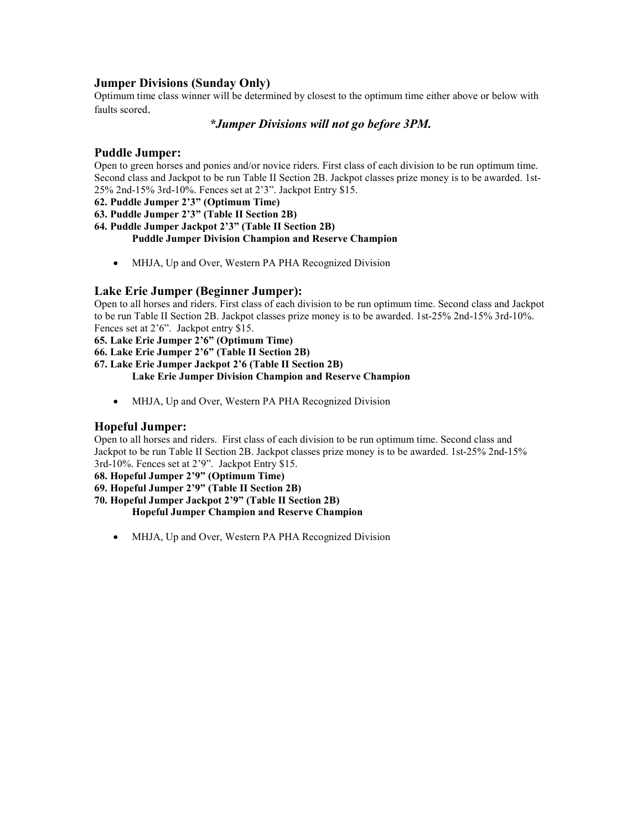# Jumper Divisions (Sunday Only)

Optimum time class winner will be determined by closest to the optimum time either above or below with faults scored.

# \*Jumper Divisions will not go before 3PM.

# Puddle Jumper:

Open to green horses and ponies and/or novice riders. First class of each division to be run optimum time. Second class and Jackpot to be run Table II Section 2B. Jackpot classes prize money is to be awarded. 1st-25% 2nd-15% 3rd-10%. Fences set at 2'3". Jackpot Entry \$15.

62. Puddle Jumper 2'3" (Optimum Time)

63. Puddle Jumper 2'3" (Table II Section 2B)

## 64. Puddle Jumper Jackpot 2'3" (Table II Section 2B) Puddle Jumper Division Champion and Reserve Champion

• MHJA, Up and Over, Western PA PHA Recognized Division

# Lake Erie Jumper (Beginner Jumper):

Open to all horses and riders. First class of each division to be run optimum time. Second class and Jackpot to be run Table II Section 2B. Jackpot classes prize money is to be awarded. 1st-25% 2nd-15% 3rd-10%. Fences set at 2'6". Jackpot entry \$15.

65. Lake Erie Jumper 2'6" (Optimum Time)

66. Lake Erie Jumper 2'6" (Table II Section 2B)

- 67. Lake Erie Jumper Jackpot 2'6 (Table II Section 2B) Lake Erie Jumper Division Champion and Reserve Champion
	- MHJA, Up and Over, Western PA PHA Recognized Division

# Hopeful Jumper:

Open to all horses and riders. First class of each division to be run optimum time. Second class and Jackpot to be run Table II Section 2B. Jackpot classes prize money is to be awarded. 1st-25% 2nd-15% 3rd-10%. Fences set at 2'9". Jackpot Entry \$15.

68. Hopeful Jumper 2'9" (Optimum Time)

69. Hopeful Jumper 2'9" (Table II Section 2B)

70. Hopeful Jumper Jackpot 2'9" (Table II Section 2B) Hopeful Jumper Champion and Reserve Champion

• MHJA, Up and Over, Western PA PHA Recognized Division